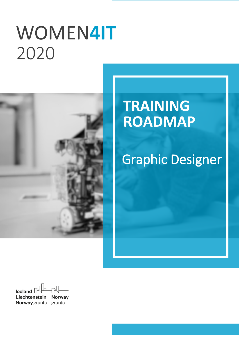# WOMEN**4IT** `2020



## **TRAINING ROADMAP**

## Graphic Designer

Iceland  $\Box$ Liechtenstein **Norway Norway** grants grants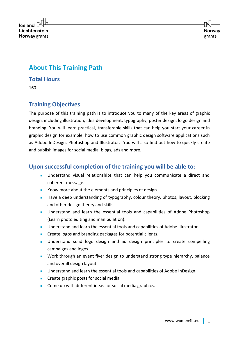

## **About This Training Path**

#### **Total Hours**

160

## **Training Objectives**

The purpose of this training path is to introduce you to many of the key areas of graphic design, including illustration, idea development, typography, poster design, lo go design and branding. You will learn practical, transferable skills that can help you start your career in graphic design for example, how to use common graphic design software applications such as Adobe InDesign, Photoshop and Illustrator. You will also find out how to quickly create and publish images for social media, blogs, ads and more.

### **Upon successful completion of the training you will be able to:**

- Understand visual relationships that can help you communicate a direct and coherent message.
- Know more about the elements and principles of design.
- Have a deep understanding of typography, colour theory, photos, layout, blocking and other design theory and skills.
- Understand and learn the essential tools and capabilities of Adobe Photoshop (Learn photo editing and manipulation).
- Understand and learn the essential tools and capabilities of Adobe Illustrator.
- Create logos and branding packages for potential clients.
- Understand solid logo design and ad design principles to create compelling campaigns and logos.
- Work through an event flyer design to understand strong type hierarchy, balance and overall design layout.
- Understand and learn the essential tools and capabilities of Adobe InDesign.
- Create graphic posts for social media.
- Come up with different ideas for social media graphics.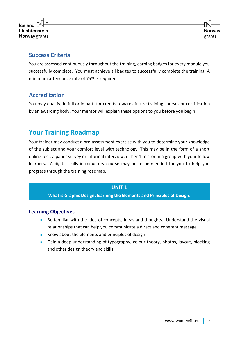

### **Success Criteria**

You are assessed continuously throughout the training, earning badges for every module you successfully complete. You must achieve all badges to successfully complete the training. A minimum attendance rate of 75% is required.

## **Accreditation**

You may qualify, in full or in part, for credits towards future training courses or certification by an awarding body. Your mentor will explain these options to you before you begin.

## **Your Training Roadmap**

Your trainer may conduct a pre-assessment exercise with you to determine your knowledge of the subject and your comfort level with technology. This may be in the form of a short online test, a paper survey or informal interview, either 1 to 1 or in a group with your fellow learners. A digital skills introductory course may be recommended for you to help you progress through the training roadmap.

#### **UNIT 1**

**What is Graphic Design, learning the Elements and Principles of Design.**

#### **Learning Objectives**

- Be familiar with the idea of concepts, ideas and thoughts. Understand the visual relationships that can help you communicate a direct and coherent message.
- Know about the elements and principles of design.
- Gain a deep understanding of typography, colour theory, photos, layout, blocking and other design theory and skills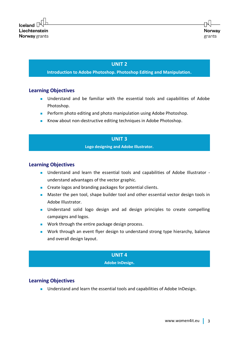#### **UNIT 2**

#### **Introduction to Adobe Photoshop. Photoshop Editing and Manipulation.**

#### **Learning Objectives**

- Understand and be familiar with the essential tools and capabilities of Adobe Photoshop.
- Perform photo editing and photo manipulation using Adobe Photoshop.
- Know about non-destructive editing techniques in Adobe Photoshop.

#### **UNIT 3**

#### **Logo designing and Adobe Illustrator.**

#### **Learning Objectives**

- Understand and learn the essential tools and capabilities of Adobe Illustrator understand advantages of the vector graphic.
- Create logos and branding packages for potential clients.
- Master the pen tool, shape builder tool and other essential vector design tools in Adobe Illustrator.
- Understand solid logo design and ad design principles to create compelling campaigns and logos.
- Work through the entire package design process.
- Work through an event flyer design to understand strong type hierarchy, balance and overall design layout.

#### **UNIT 4**

#### **Adobe InDesign.**

#### **Learning Objectives**

■ Understand and learn the essential tools and capabilities of Adobe InDesign.